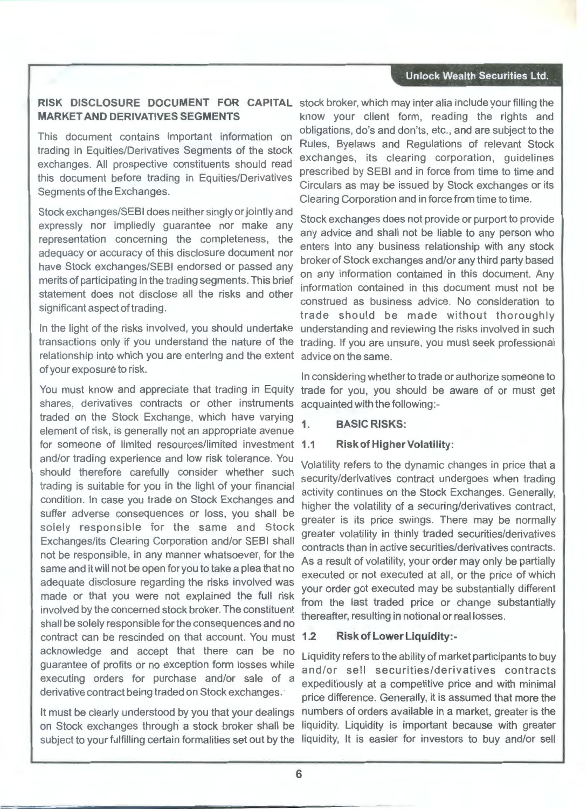#### **Unlock Wealth Securities Ltd.**

## **MARKET AND DERIVATIVES SEGMENTS**

This document contains important information on trading in Equities/Derivatives Segments of the stock exchanges. All prospective constituents should read this document before trading in Equities/Derivatives Segments of the Exchanges.

Stock exchanges/SEBI does neither singly or jointly and expressly nor impliedly guarantee nor make any representation concerning the completeness, the adequacy or accuracy of this disclosure document nor have Stock exchanges/SEBI endorsed or passed any merits of participating in the trading segments. This brief statement does not disclose all the risks and other significant aspect of trading.

relationship into which you are entering and the extent of your exposure to risk.

shares, derivatives contracts or other instruments acquainted with the following:-You must know and appreciate that trading in Equity traded on the Stock Exchange, which have varying element of risk, is generally not an appropriate avenue for someone of limited resources/limited investment **1.1**  and/or trading experience and low risk tolerance. You should therefore carefully consider whether such trading is suitable for you in the light of your financial condition. In case you trade on Stock Exchanges and suffer adverse consequences or loss, you shall be solely responsible for the same and Stock Exchanges/its Clearing Corporation and/or SEBI shall not be responsible, in any manner whatsoever, for the same and it will not be open for you to take a plea that no adequate disclosure regarding the risks involved was made or that you were not explained the full risk involved by the concerned stock broker. The constituent shall be solely responsible for the consequences and no contract can be rescinded on that account. You must acknowledge and accept that there can be no guarantee of profits or no exception form losses while executing orders for purchase and/or sale of a derivative contract being traded on Stock exchanges.

It must be clearly understood by you that your dealings on Stock exchanges through a stock broker shall be subject to your fulfilling certain formalities set out by the

**RISK DISCLOSURE DOCUMENT FOR CAPITAL**  stock broker, which may inter alia include your filling the know your client form, reading the rights and obligations, do's and don'ts, etc., and are subject to the Rules, Byelaws and Regulations of relevant Stock exchanges, its clearing corporation, guidelines prescribed by SEBI and in force from time to time and Circulars as may be issued by Stock exchanges or its Clearing Corporation and in force from time to time.

In the light of the risks involved, you should undertake understanding and reviewing the risks involved in such transactions only if you understand the nature of the trading. If you are unsure, you must seek professional Stock exchanges does not provide or purport to provide any advice and shall not be liable to any person who enters into any business relationship with any stock broker of Stock exchanges and/or any third party based on any information contained in this document. Any information contained in this document must not be construed as business advice. No consideration to trade should be made without thoroughly advice on the same.

> In considering whether to trade or authorize someone to trade for you, you should be aware of or must get

#### 1 · **BASIC RISKS:**

#### **Risk of Higher Volatility:**

Volatility refers to the dynamic changes in price that a security/derivatives contract undergoes when trading activity continues on the Stock Exchanges. Generally, higher the volatility of a securing/derivatives contract, greater is its price swings. There may be normally greater volatility in thinly traded securities/derivatives contracts than in active securities/derivatives contracts. As a result of volatility, your order may only be partially executed or not executed at all, or the price of which your order got executed may be substantially different from the last traded price or change substantially thereafter, resulting in notional or real losses.

#### **1.2 Risk of Lower Liquidity:-**

Liquidity refers to the ability of market participants to buy and/or sell securities/derivatives contracts expeditiously at a competitive price and with minimal price difference. Generally, it is assumed that more the numbers of orders available in a market, greater is the liquidity. Liquidity is important because with greater liquidity, It is easier for investors to buy and/or sell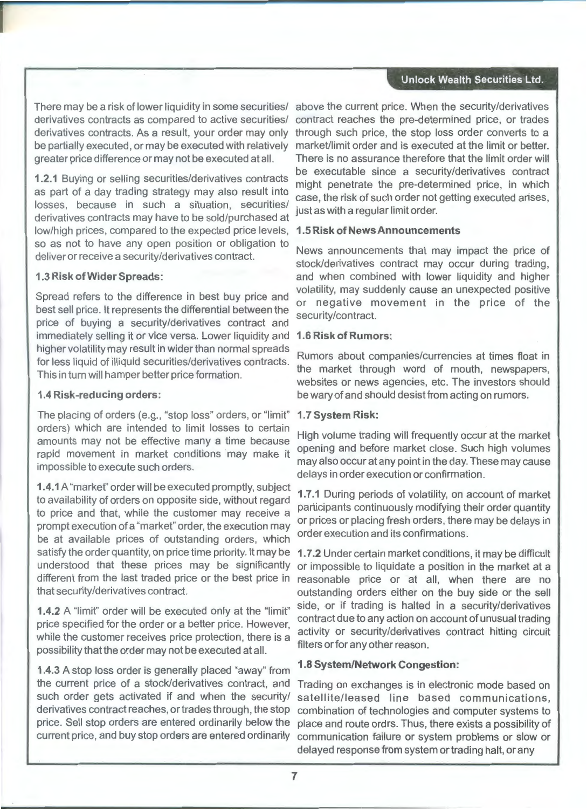#### **Unlock Wealth Securities Ltd.**

derivatives contracts as compared to active securities/ derivatives contracts. As a result, your order may only be partially executed, or may be executed with relatively greater price difference or may not be executed at all.

**1.2.1** Buying or selling securities/derivatives contracts as part of a day trading strategy may also result into losses, because in such a situation, securities/ derivatives contracts may have to be sold/purchased at low/high prices, compared to the expected price levels, so as not to have any open position or obligation to deliver or receive a security/derivatives contract.

#### **1.3 Risk of Wider Spreads:**

Spread refers to the difference in best buy price and best sell price. It represents the differential between the price of buying a security/derivatives contract and immediately selling it or vice versa. Lower liquidity and higher volatility may result in wider than normal spreads for less liquid of illiquid securities/derivatives contracts. This in turn will hamper better price formation.

#### **1.4 Risk-reducing orders:**

The placing of orders (e.g., "stop loss" orders, or "limit" orders) which are intended to limit losses to certain amounts may not be effective many a time because rapid movement in market conditions may make it impossible to execute such orders.

**1.4.1** A "market" order will be executed promptly, subject to availability of orders on opposite side, without regard to price and that, while the customer may receive a prompt execution of a "market" order, the execution may be at available prices of outstanding orders, which satisfy the order quantity, on price time priority. It may be understood that these prices may be significantly that security/derivatives contract.

**1.4.2** A "limit" order will be executed only at the "limit" price specified for the order or a better price. However, while the customer receives price protection, there is a possibility that the order may not be executed at all.

**1.4.3** A stop loss order is generally placed "away" from the current price of a stock/derivatives contract, and such order gets activated if and when the security/ derivatives contract reaches, or trades through, the stop price. Sell stop orders are entered ordinarily below the current price, and buy stop orders are entered ordinarily

There may be a risk of lower liquidity in some securities/ above the current price. When the security/derivatives contract reaches the pre-determined price, or trades through such price, the stop loss order converts to a market/limit order and is executed at the limit or better. There is no assurance therefore that the limit order will be executable since a security/derivatives contract might penetrate the pre-determined price, in which case, the risk of such order not getting executed arises, just as with a regular limit order.

### **1.5 Risk of News Announcements**

News announcements that may impact the price of stock/derivatives contract may occur during trading, and when combined with lower liquidity and higher volatility, may suddenly cause an unexpected positive or negative movement in the price of the security/contract.

### **1.6 Risk of Rumors:**

Rumors about companies/currencies at times float in the market through word of mouth, newspapers, websites or news agencies, etc. The investors should be wary of and should desist from acting on rumors.

#### **1. 7 System Risk:**

High volume trading will frequently occur at the market opening and before market close. Such high volumes may also occur at any point in the day. These may cause delays in order execution or confirmation.

**1. 7 .1** During periods of volatility, on account of market participants continuously modifying their order quantity or prices or placing fresh orders, there may be delays in order execution and its confirmations.

different from the last traded price or the best price in reasonable price or at all, when there are no **1. 7 .2** Under certain market conditions, it may be difficult or impossible to liquidate a position in the market at a outstanding orders either on the buy side or the sell side, or if trading is halted in a security/derivatives contract due to any action on account of unusual trading activity or security/derivatives contract hitting circuit filters or for any other reason.

### **1.8 System/Network Congestion:**

Trading on exchanges is in electronic mode based on satellite/leased line based communications, combination of technologies and computer systems to place and route ordrs. Thus, there exists a possibility of communication failure or system problems or slow or delayed response from system or trading halt, or any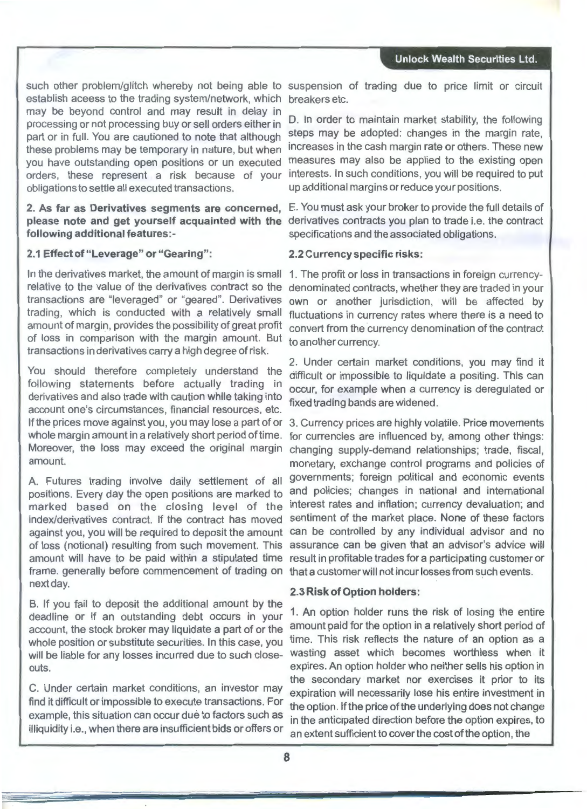such other problem/glitch whereby not being able to suspension of trading due to price limit or circuit establish aceess to the trading system/network, which may be beyond control and may result in delay in processing or not processing buy or sell orders either in part or in full. You are cautioned to note that although these problems may be temporary in nature, but when you have outstanding open positions or un executed orders, these represent a risk because of your obligations to settle all executed transactions.

#### **2. As far as Derivatives segments are concerned,** E. You must ask your broker to provide the full details of **please note and get yourself acquainted with the** derivatives contracts you plan to trade i.e. the contract **following additional features:-** specifications and the associated obligations.

#### **2.1 Effect of "Leverage" or "Gearing":**

In the derivatives market, the amount of margin is small 1. The profit or loss in transactions in foreign currencyrelative to the value of the derivatives contract so the transactions are "leveraged" or "geared". Derivatives trading, which is conducted with a relatively small amount of margin, provides the possibility of great profit of loss in comparison with the margin amount. But transactions in derivatives carry a high degree of risk.

You should therefore completely understand the following statements before actually trading in derivatives and also trade with caution while taking into account one's circumstances, financial resources, etc. If the prices move against you, you may lose a part of or whole margin amount in a relatively short period of time. Moreover, the loss may exceed the original margin amount.

A. Futures trading involve daily settlement of all positions. Every day the open positions are marked to marked based on the closing level of the index/derivatives contract. If the contract has moved against you, you will be required to deposit the amount of loss (notional) resulting from such movement. This amount will have to be paid within a stipulated time frame. generally before commencement of trading on next day.

B. If you fail to deposit the additional amount by the deadline or if an outstanding debt occurs in your account, the stock broker may liquidate a part of or the whole position or substitute securities. In this case, you will be liable for any losses incurred due to such closeouts.

C. Under certain market conditions, an investor may find it difficult or impossible to execute transactions. For example, this situation can occur due to factors such as illiquidity i.e., when there are insufficient bids or offers or

breakers etc.

D. In order to maintain market stability, the following steps may be adopted: changes in the margin rate, increases in the cash margin rate or others. These new measures may also be applied to the existing open interests. In such conditions, you will be required to put up additional margins or reduce your positions.

#### **2.2 Currency specific risks:**

denominated contracts, whether they are traded in your own or another jurisdiction, will be affected by fluctuations in currency rates where there is a need to convert from the currency denomination of the contract to another currency.

2. Under certain market conditions, you may find it difficult or impossible to liquidate a positing. This can occur, for example when a currency is deregulated or fixed trading bands are widened.

3. Currency prices are highly volatile. Price movements for currencies are influenced by, among other things: changing supply-demand relationships; trade, fiscal, monetary, exchange control programs and policies of governments; foreign political and economic events and policies; changes in national and international interest rates and inflation; currency devaluation; and sentiment of the market place. None of these factors can be controlled by any individual advisor and no assurance can be given that an advisor's advice will result in profitable trades for a participating customer or that a customer will not incur losses from such events.

#### **2.3 Risk of Option holders:**

1. An option holder runs the risk of losing the entire amount paid for the option in a relatively short period of time. This risk reflects the nature of an option as a wasting asset which becomes worthless when it expires. An option holder who neither sells his option in the secondary market nor exercises it prior to its expiration will necessarily lose his entire investment in the option. If the price of the underlying does not change in the anticipated direction before the option expires, to an extent sufficient to cover the cost of the option, the